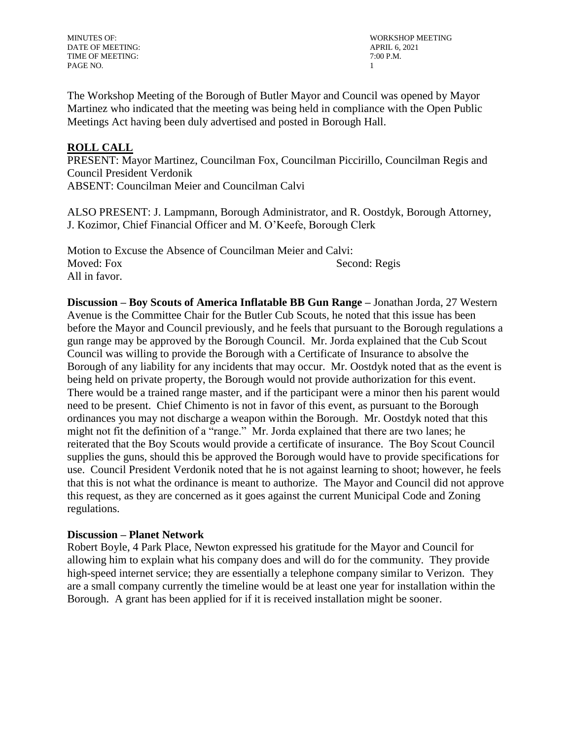DATE OF MEETING: APRIL 6, 2021 TIME OF MEETING:  $7:00$  P.M. PAGE NO. 1

MINUTES OF: WORKSHOP MEETING

The Workshop Meeting of the Borough of Butler Mayor and Council was opened by Mayor Martinez who indicated that the meeting was being held in compliance with the Open Public Meetings Act having been duly advertised and posted in Borough Hall.

# **ROLL CALL**

PRESENT: Mayor Martinez, Councilman Fox, Councilman Piccirillo, Councilman Regis and Council President Verdonik ABSENT: Councilman Meier and Councilman Calvi

ALSO PRESENT: J. Lampmann, Borough Administrator, and R. Oostdyk, Borough Attorney, J. Kozimor, Chief Financial Officer and M. O'Keefe, Borough Clerk

Motion to Excuse the Absence of Councilman Meier and Calvi: Moved: Fox Second: Regis All in favor.

**Discussion – Boy Scouts of America Inflatable BB Gun Range –** Jonathan Jorda, 27 Western Avenue is the Committee Chair for the Butler Cub Scouts, he noted that this issue has been before the Mayor and Council previously, and he feels that pursuant to the Borough regulations a gun range may be approved by the Borough Council. Mr. Jorda explained that the Cub Scout Council was willing to provide the Borough with a Certificate of Insurance to absolve the Borough of any liability for any incidents that may occur. Mr. Oostdyk noted that as the event is being held on private property, the Borough would not provide authorization for this event. There would be a trained range master, and if the participant were a minor then his parent would need to be present. Chief Chimento is not in favor of this event, as pursuant to the Borough ordinances you may not discharge a weapon within the Borough. Mr. Oostdyk noted that this might not fit the definition of a "range." Mr. Jorda explained that there are two lanes; he reiterated that the Boy Scouts would provide a certificate of insurance. The Boy Scout Council supplies the guns, should this be approved the Borough would have to provide specifications for use. Council President Verdonik noted that he is not against learning to shoot; however, he feels that this is not what the ordinance is meant to authorize. The Mayor and Council did not approve this request, as they are concerned as it goes against the current Municipal Code and Zoning regulations.

# **Discussion – Planet Network**

Robert Boyle, 4 Park Place, Newton expressed his gratitude for the Mayor and Council for allowing him to explain what his company does and will do for the community. They provide high-speed internet service; they are essentially a telephone company similar to Verizon. They are a small company currently the timeline would be at least one year for installation within the Borough. A grant has been applied for if it is received installation might be sooner.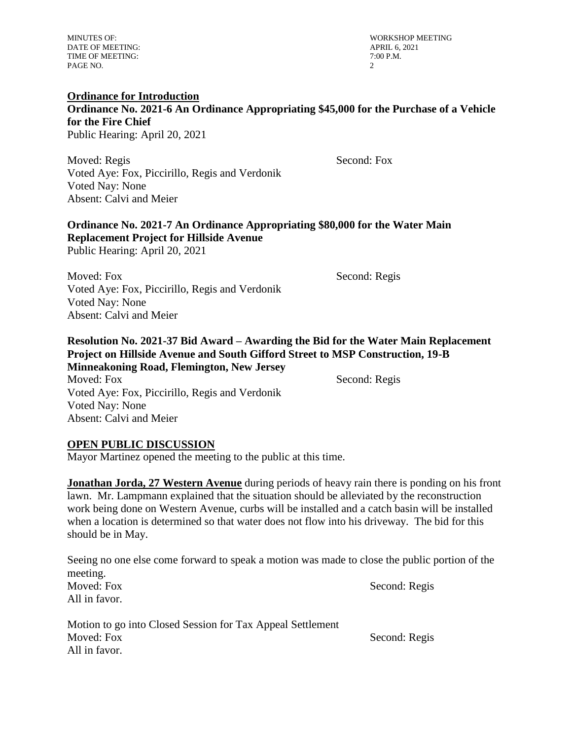DATE OF MEETING: APRIL 6, 2021 TIME OF MEETING:  $7:00$  P.M. PAGE NO. 2

MINUTES OF: WORKSHOP MEETING

### **Ordinance for Introduction**

**Ordinance No. 2021-6 An Ordinance Appropriating \$45,000 for the Purchase of a Vehicle for the Fire Chief** Public Hearing: April 20, 2021

Moved: Regis Second: Fox Voted Aye: Fox, Piccirillo, Regis and Verdonik Voted Nay: None Absent: Calvi and Meier

## **Ordinance No. 2021-7 An Ordinance Appropriating \$80,000 for the Water Main Replacement Project for Hillside Avenue**  Public Hearing: April 20, 2021

Moved: Fox Second: Regis

Voted Aye: Fox, Piccirillo, Regis and Verdonik Voted Nay: None Absent: Calvi and Meier

### **Resolution No. 2021-37 Bid Award – Awarding the Bid for the Water Main Replacement Project on Hillside Avenue and South Gifford Street to MSP Construction, 19-B Minneakoning Road, Flemington, New Jersey**

Moved: Fox Second: Regis Voted Aye: Fox, Piccirillo, Regis and Verdonik Voted Nay: None Absent: Calvi and Meier

### **OPEN PUBLIC DISCUSSION**

Mayor Martinez opened the meeting to the public at this time.

**Jonathan Jorda, 27 Western Avenue** during periods of heavy rain there is ponding on his front lawn. Mr. Lampmann explained that the situation should be alleviated by the reconstruction work being done on Western Avenue, curbs will be installed and a catch basin will be installed when a location is determined so that water does not flow into his driveway. The bid for this should be in May.

Seeing no one else come forward to speak a motion was made to close the public portion of the meeting. Moved: Fox Second: Regis All in favor.

| Motion to go into Closed Session for Tax Appeal Settlement |
|------------------------------------------------------------|
| Moved: Fox                                                 |
| All in favor.                                              |

Second: Regis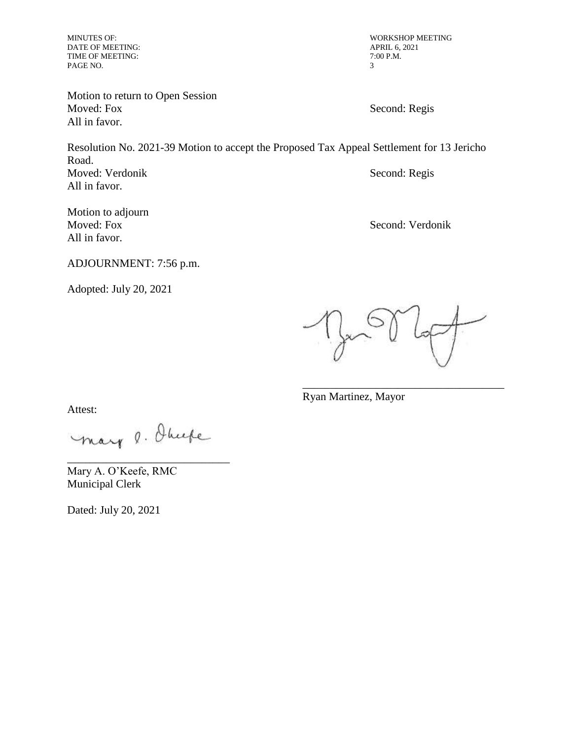DATE OF MEETING: APRIL 6, 2021 TIME OF MEETING: 2021 APRIL 6, 2022 TIME OF MEETING: TIME OF MEETING: PAGE NO. 3

Motion to return to Open Session Moved: Fox Second: Regis All in favor.

MINUTES OF: WORKSHOP MEETING<br>DATE OF MEETING: APRIL 6, 2021

Resolution No. 2021-39 Motion to accept the Proposed Tax Appeal Settlement for 13 Jericho Road. Moved: Verdonik Second: Regis All in favor.

Motion to adjourn Moved: Fox Second: Verdonik All in favor.

ADJOURNMENT: 7:56 p.m.

Adopted: July 20, 2021

\_\_\_\_\_\_\_\_\_\_\_\_\_\_\_\_\_\_\_\_\_\_\_\_\_\_\_\_\_\_\_\_\_\_\_\_

Ryan Martinez, Mayor

Attest:

mary o. Ohnefe

\_\_\_\_\_\_\_\_\_\_\_\_\_\_\_\_\_\_\_\_\_\_\_\_\_\_\_\_\_ Mary A. O'Keefe, RMC Municipal Clerk

Dated: July 20, 2021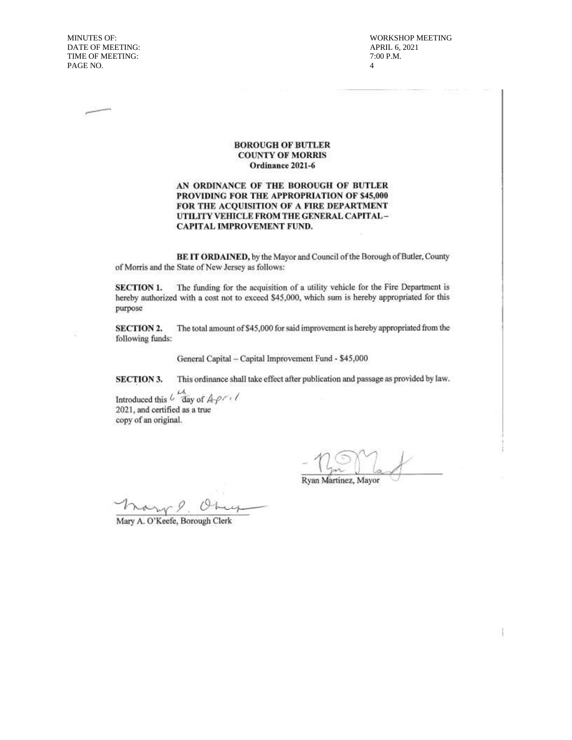**MINUTES OF:** DATE OF MEETING: TIME OF MEETING: PAGE NO.

**WORKSHOP MEETING** APRIL 6, 2021 7:00 P.M.  $\overline{A}$ 

#### **BOROUGH OF BUTLER COUNTY OF MORRIS** Ordinance 2021-6

### AN ORDINANCE OF THE BOROUGH OF BUTLER PROVIDING FOR THE APPROPRIATION OF \$45,000 FOR THE ACQUISITION OF A FIRE DEPARTMENT UTILITY VEHICLE FROM THE GENERAL CAPITAL-CAPITAL IMPROVEMENT FUND.

BE IT ORDAINED, by the Mayor and Council of the Borough of Butler, County of Morris and the State of New Jersey as follows:

**SECTION 1.** The funding for the acquisition of a utility vehicle for the Fire Department is hereby authorized with a cost not to exceed \$45,000, which sum is hereby appropriated for this purpose

The total amount of \$45,000 for said improvement is hereby appropriated from the **SECTION 2.** following funds:

General Capital - Capital Improvement Fund - \$45,000

**SECTION 3.** This ordinance shall take effect after publication and passage as provided by law.

Introduced this  $\iota$  day of  $A$ - $\rho$  / / 2021, and certified as a true copy of an original.

Ryan Martinez, Mayor

Mary A. O'Keefe, Borough Clerk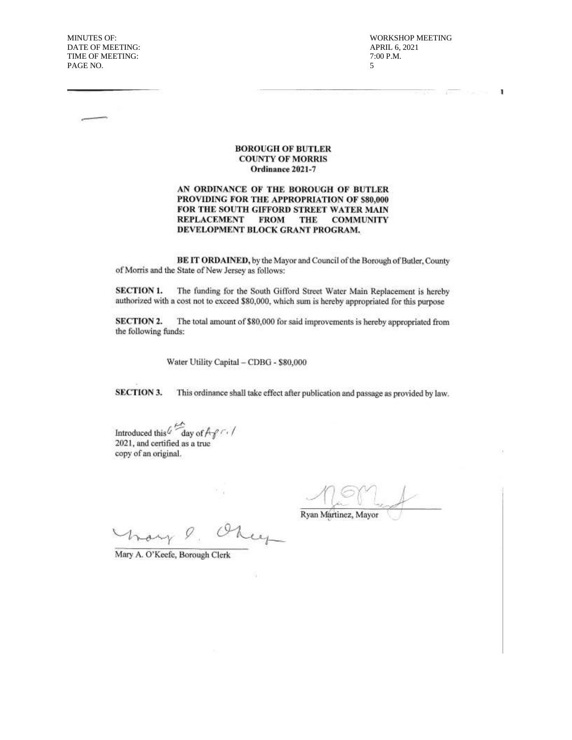**MINUTES OF:** DATE OF MEETING: TIME OF MEETING: PAGE NO.

**WORKSHOP MEETING** APRIL 6, 2021 7:00 P.M.  $\overline{5}$ 

**Contract Contract Contract Contract** 

 $\boldsymbol{a}$ 

**BOROUGH OF BUTLER COUNTY OF MORRIS** Ordinance 2021-7

#### AN ORDINANCE OF THE BOROUGH OF BUTLER PROVIDING FOR THE APPROPRIATION OF \$80,000 FOR THE SOUTH GIFFORD STREET WATER MAIN **REPLACEMENT FROM** THE **COMMUNITY** DEVELOPMENT BLOCK GRANT PROGRAM.

BE IT ORDAINED, by the Mayor and Council of the Borough of Butler, County of Morris and the State of New Jersey as follows:

**SECTION 1.** The funding for the South Gifford Street Water Main Replacement is hereby authorized with a cost not to exceed \$80,000, which sum is hereby appropriated for this purpose

**SECTION 2.** The total amount of \$80,000 for said improvements is hereby appropriated from the following funds:

Water Utility Capital - CDBG - \$80,000

**SECTION 3.** This ordinance shall take effect after publication and passage as provided by law.

Introduced this  $\sqrt[4]{\frac{1}{2}}$  day of  $\sqrt[4]{\frac{1}{2}}$  / 2021, and certified as a true copy of an original.

Ryan Martinez, Mayor

Mary A. O'Keefe, Borough Clerk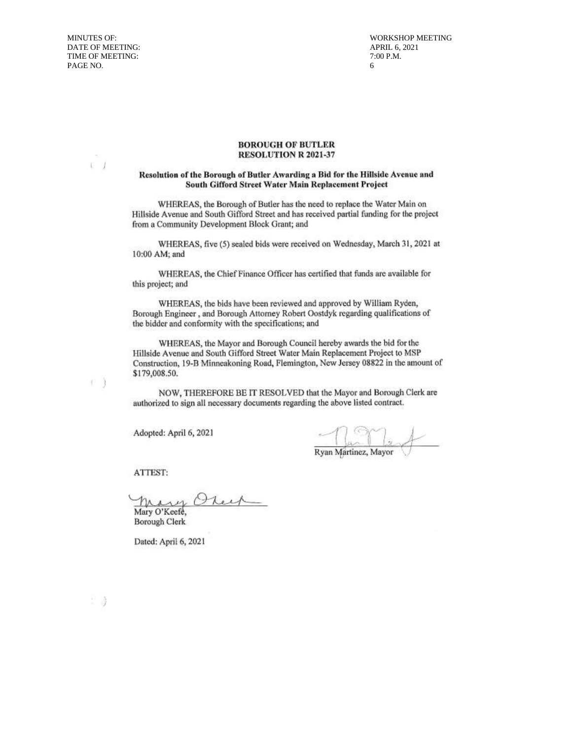**MINUTES OF:** DATE OF MEETING: TIME OF MEETING: PAGE NO.

> T) J

> 3 1

- 9

**WORKSHOP MEETING** APRIL 6, 2021 7:00 P.M. 6

### **BOROUGH OF BUTLER RESOLUTION R 2021-37**

#### Resolution of the Borough of Butler Awarding a Bid for the Hillside Avenue and South Gifford Street Water Main Replacement Project

WHEREAS, the Borough of Butler has the need to replace the Water Main on Hillside Avenue and South Gifford Street and has received partial funding for the project from a Community Development Block Grant; and

WHEREAS, five (5) sealed bids were received on Wednesday, March 31, 2021 at 10:00 AM; and

WHEREAS, the Chief Finance Officer has certified that funds are available for this project; and

WHEREAS, the bids have been reviewed and approved by William Ryden, Borough Engineer, and Borough Attorney Robert Oostdyk regarding qualifications of the bidder and conformity with the specifications; and

WHEREAS, the Mayor and Borough Council hereby awards the bid for the Hillside Avenue and South Gifford Street Water Main Replacement Project to MSP Construction, 19-B Minneakoning Road, Flemington, New Jersey 08822 in the amount of \$179,008.50.

NOW, THEREFORE BE IT RESOLVED that the Mayor and Borough Clerk are authorized to sign all necessary documents regarding the above listed contract.

Adopted: April 6, 2021

Ryan Martinez, Mayor

ATTEST:

Preit mary Mary O'Keefe,

**Borough Clerk** 

Dated: April 6, 2021